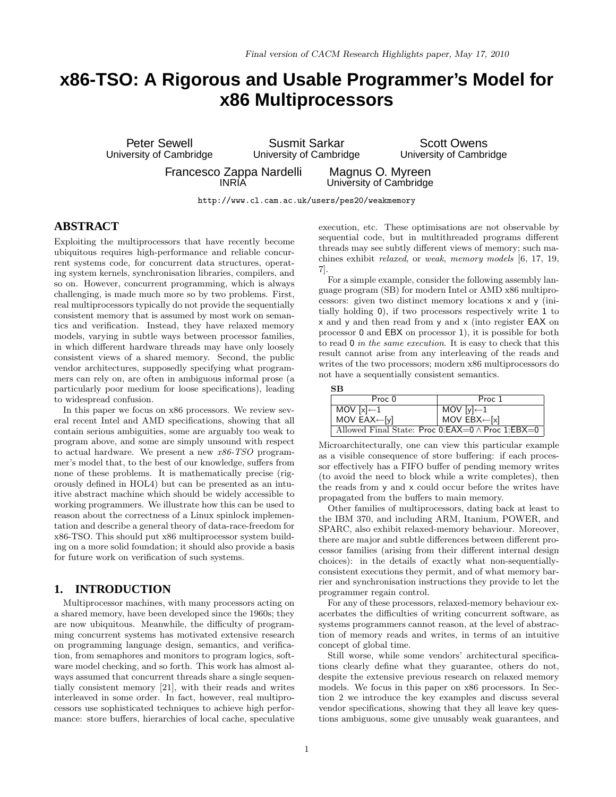Magnus O. Myreen University of Cambridge

# **x86-TSO: A Rigorous and Usable Programmer's Model for x86 Multiprocessors**

Peter Sewell University of Cambridge

Susmit Sarkar University of Cambridge

Francesco Zappa Nardelli INRIA

Scott Owens University of Cambridge

http://www.cl.cam.ac.uk/users/pes20/weakmemory

# **ABSTRACT**

Exploiting the multiprocessors that have recently become ubiquitous requires high-performance and reliable concurrent systems code, for concurrent data structures, operating system kernels, synchronisation libraries, compilers, and so on. However, concurrent programming, which is always challenging, is made much more so by two problems. First, real multiprocessors typically do not provide the sequentially consistent memory that is assumed by most work on semantics and verification. Instead, they have relaxed memory models, varying in subtle ways between processor families, in which different hardware threads may have only loosely consistent views of a shared memory. Second, the public vendor architectures, supposedly specifying what programmers can rely on, are often in ambiguous informal prose (a particularly poor medium for loose specifications), leading to widespread confusion.

In this paper we focus on x86 processors. We review several recent Intel and AMD specifications, showing that all contain serious ambiguities, some are arguably too weak to program above, and some are simply unsound with respect to actual hardware. We present a new x86-TSO programmer's model that, to the best of our knowledge, suffers from none of these problems. It is mathematically precise (rigorously defined in HOL4) but can be presented as an intuitive abstract machine which should be widely accessible to working programmers. We illustrate how this can be used to reason about the correctness of a Linux spinlock implementation and describe a general theory of data-race-freedom for x86-TSO. This should put x86 multiprocessor system building on a more solid foundation; it should also provide a basis for future work on verification of such systems.

# **1. INTRODUCTION**

Multiprocessor machines, with many processors acting on a shared memory, have been developed since the 1960s; they are now ubiquitous. Meanwhile, the difficulty of programming concurrent systems has motivated extensive research on programming language design, semantics, and verification, from semaphores and monitors to program logics, software model checking, and so forth. This work has almost always assumed that concurrent threads share a single sequentially consistent memory [21], with their reads and writes interleaved in some order. In fact, however, real multiprocessors use sophisticated techniques to achieve high performance: store buffers, hierarchies of local cache, speculative execution, etc. These optimisations are not observable by sequential code, but in multithreaded programs different threads may see subtly different views of memory; such machines exhibit relaxed, or weak, memory models [6, 17, 19, 7].

For a simple example, consider the following assembly language program (SB) for modern Intel or AMD x86 multiprocessors: given two distinct memory locations x and y (initially holding 0), if two processors respectively write 1 to x and y and then read from y and x (into register EAX on processor 0 and EBX on processor 1), it is possible for both to read 0 in the same execution. It is easy to check that this result cannot arise from any interleaving of the reads and writes of the two processors; modern x86 multiprocessors do not have a sequentially consistent semantics.

| ۰.<br>$-$ | ۰, |
|-----------|----|
|           |    |

| Proc 0                         | Proc 1                                                  |
|--------------------------------|---------------------------------------------------------|
| MOV $[x] \leftarrow 1$         | MOV [y] $\leftarrow$ 1                                  |
| MOV $\overrightarrow{EAX}$ [y] | MOV $ESX \leftarrow [x]$                                |
|                                | Allowed Final State: Proc $0.EAX=0 \wedge Proc 1:EBX=0$ |

Microarchitecturally, one can view this particular example as a visible consequence of store buffering: if each processor effectively has a FIFO buffer of pending memory writes (to avoid the need to block while a write completes), then the reads from y and x could occur before the writes have propagated from the buffers to main memory.

Other families of multiprocessors, dating back at least to the IBM 370, and including ARM, Itanium, POWER, and SPARC, also exhibit relaxed-memory behaviour. Moreover, there are major and subtle differences between different processor families (arising from their different internal design choices): in the details of exactly what non-sequentiallyconsistent executions they permit, and of what memory barrier and synchronisation instructions they provide to let the programmer regain control.

For any of these processors, relaxed-memory behaviour exacerbates the difficulties of writing concurrent software, as systems programmers cannot reason, at the level of abstraction of memory reads and writes, in terms of an intuitive concept of global time.

Still worse, while some vendors' architectural specifications clearly define what they guarantee, others do not, despite the extensive previous research on relaxed memory models. We focus in this paper on x86 processors. In Section 2 we introduce the key examples and discuss several vendor specifications, showing that they all leave key questions ambiguous, some give unusably weak guarantees, and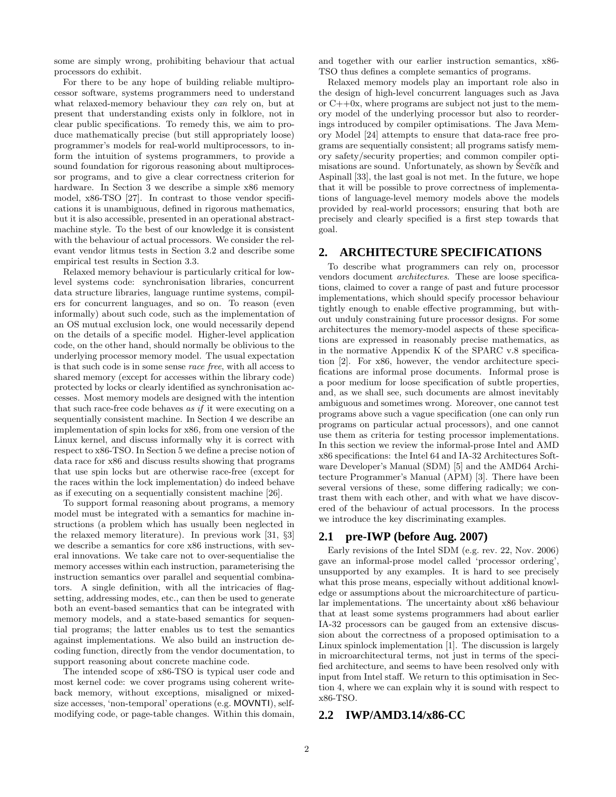some are simply wrong, prohibiting behaviour that actual processors do exhibit.

For there to be any hope of building reliable multiprocessor software, systems programmers need to understand what relaxed-memory behaviour they can rely on, but at present that understanding exists only in folklore, not in clear public specifications. To remedy this, we aim to produce mathematically precise (but still appropriately loose) programmer's models for real-world multiprocessors, to inform the intuition of systems programmers, to provide a sound foundation for rigorous reasoning about multiprocessor programs, and to give a clear correctness criterion for hardware. In Section 3 we describe a simple x86 memory model, x86-TSO [27]. In contrast to those vendor specifications it is unambiguous, defined in rigorous mathematics, but it is also accessible, presented in an operational abstractmachine style. To the best of our knowledge it is consistent with the behaviour of actual processors. We consider the relevant vendor litmus tests in Section 3.2 and describe some empirical test results in Section 3.3.

Relaxed memory behaviour is particularly critical for lowlevel systems code: synchronisation libraries, concurrent data structure libraries, language runtime systems, compilers for concurrent languages, and so on. To reason (even informally) about such code, such as the implementation of an OS mutual exclusion lock, one would necessarily depend on the details of a specific model. Higher-level application code, on the other hand, should normally be oblivious to the underlying processor memory model. The usual expectation is that such code is in some sense race free, with all access to shared memory (except for accesses within the library code) protected by locks or clearly identified as synchronisation accesses. Most memory models are designed with the intention that such race-free code behaves as if it were executing on a sequentially consistent machine. In Section 4 we describe an implementation of spin locks for x86, from one version of the Linux kernel, and discuss informally why it is correct with respect to x86-TSO. In Section 5 we define a precise notion of data race for x86 and discuss results showing that programs that use spin locks but are otherwise race-free (except for the races within the lock implementation) do indeed behave as if executing on a sequentially consistent machine [26].

To support formal reasoning about programs, a memory model must be integrated with a semantics for machine instructions (a problem which has usually been neglected in the relaxed memory literature). In previous work [31, §3] we describe a semantics for core x86 instructions, with several innovations. We take care not to over-sequentialise the memory accesses within each instruction, parameterising the instruction semantics over parallel and sequential combinators. A single definition, with all the intricacies of flagsetting, addressing modes, etc., can then be used to generate both an event-based semantics that can be integrated with memory models, and a state-based semantics for sequential programs; the latter enables us to test the semantics against implementations. We also build an instruction decoding function, directly from the vendor documentation, to support reasoning about concrete machine code.

The intended scope of x86-TSO is typical user code and most kernel code: we cover programs using coherent writeback memory, without exceptions, misaligned or mixedsize accesses, 'non-temporal' operations (e.g. MOVNTI), selfmodifying code, or page-table changes. Within this domain, and together with our earlier instruction semantics, x86- TSO thus defines a complete semantics of programs.

Relaxed memory models play an important role also in the design of high-level concurrent languages such as Java or  $C++0x$ , where programs are subject not just to the memory model of the underlying processor but also to reorderings introduced by compiler optimisations. The Java Memory Model [24] attempts to ensure that data-race free programs are sequentially consistent; all programs satisfy memory safety/security properties; and common compiler optimisations are sound. Unfortunately, as shown by Ševčík and Aspinall [33], the last goal is not met. In the future, we hope that it will be possible to prove correctness of implementations of language-level memory models above the models provided by real-world processors; ensuring that both are precisely and clearly specified is a first step towards that goal.

#### **2. ARCHITECTURE SPECIFICATIONS**

To describe what programmers can rely on, processor vendors document architectures. These are loose specifications, claimed to cover a range of past and future processor implementations, which should specify processor behaviour tightly enough to enable effective programming, but without unduly constraining future processor designs. For some architectures the memory-model aspects of these specifications are expressed in reasonably precise mathematics, as in the normative Appendix K of the SPARC v.8 specification [2]. For x86, however, the vendor architecture specifications are informal prose documents. Informal prose is a poor medium for loose specification of subtle properties, and, as we shall see, such documents are almost inevitably ambiguous and sometimes wrong. Moreover, one cannot test programs above such a vague specification (one can only run programs on particular actual processors), and one cannot use them as criteria for testing processor implementations. In this section we review the informal-prose Intel and AMD x86 specifications: the Intel 64 and IA-32 Architectures Software Developer's Manual (SDM) [5] and the AMD64 Architecture Programmer's Manual (APM) [3]. There have been several versions of these, some differing radically; we contrast them with each other, and with what we have discovered of the behaviour of actual processors. In the process we introduce the key discriminating examples.

# **2.1 pre-IWP (before Aug. 2007)**

Early revisions of the Intel SDM (e.g. rev. 22, Nov. 2006) gave an informal-prose model called 'processor ordering', unsupported by any examples. It is hard to see precisely what this prose means, especially without additional knowledge or assumptions about the microarchitecture of particular implementations. The uncertainty about x86 behaviour that at least some systems programmers had about earlier IA-32 processors can be gauged from an extensive discussion about the correctness of a proposed optimisation to a Linux spinlock implementation [1]. The discussion is largely in microarchitectural terms, not just in terms of the specified architecture, and seems to have been resolved only with input from Intel staff. We return to this optimisation in Section 4, where we can explain why it is sound with respect to x86-TSO.

#### **2.2 IWP/AMD3.14/x86-CC**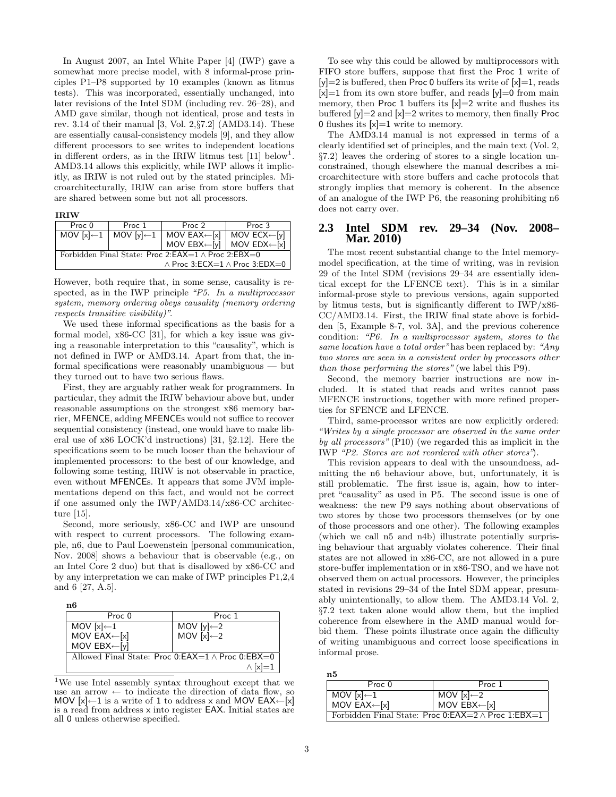In August 2007, an Intel White Paper [4] (IWP) gave a somewhat more precise model, with 8 informal-prose principles P1–P8 supported by 10 examples (known as litmus tests). This was incorporated, essentially unchanged, into later revisions of the Intel SDM (including rev. 26–28), and AMD gave similar, though not identical, prose and tests in rev. 3.14 of their manual [3, Vol. 2,§7.2] (AMD3.14). These are essentially causal-consistency models [9], and they allow different processors to see writes to independent locations in different orders, as in the IRIW litmus test  $[11]$  below<sup>1</sup>. AMD3.14 allows this explicitly, while IWP allows it implicitly, as IRIW is not ruled out by the stated principles. Microarchitecturally, IRIW can arise from store buffers that are shared between some but not all processors.

IRIW

| Proc 0 | Proc 1 | Proc 2                                                                                          | Proc 3 |
|--------|--------|-------------------------------------------------------------------------------------------------|--------|
|        |        | MOV $[x] \leftarrow 1$ MOV $[y] \leftarrow 1$ MOV EAX $\leftarrow [x]$ MOV ECX $\leftarrow [y]$ |        |
|        |        | MOV EBX $\leftarrow$ [y]   MOV EDX $\leftarrow$ [x]                                             |        |
|        |        | Forbidden Final State: Proc 2:EAX= $1 \wedge$ Proc 2:EBX=0                                      |        |
|        |        | $\land$ Proc 3:ECX=1 $\land$ Proc 3:EDX=0                                                       |        |

However, both require that, in some sense, causality is respected, as in the IWP principle "P5. In a multiprocessor system, memory ordering obeys causality (memory ordering respects transitive visibility)".

We used these informal specifications as the basis for a formal model, x86-CC [31], for which a key issue was giving a reasonable interpretation to this "causality", which is not defined in IWP or AMD3.14. Apart from that, the informal specifications were reasonably unambiguous — but they turned out to have two serious flaws.

First, they are arguably rather weak for programmers. In particular, they admit the IRIW behaviour above but, under reasonable assumptions on the strongest x86 memory barrier, MFENCE, adding MFENCEs would not suffice to recover sequential consistency (instead, one would have to make liberal use of x86 LOCK'd instructions) [31, §2.12]. Here the specifications seem to be much looser than the behaviour of implemented processors: to the best of our knowledge, and following some testing, IRIW is not observable in practice, even without MFENCEs. It appears that some JVM implementations depend on this fact, and would not be correct if one assumed only the IWP/AMD3.14/x86-CC architecture [15].

Second, more seriously, x86-CC and IWP are unsound with respect to current processors. The following example, n6, due to Paul Loewenstein [personal communication, Nov. 2008] shows a behaviour that is observable (e.g., on an Intel Core 2 duo) but that is disallowed by x86-CC and by any interpretation we can make of IWP principles P1,2,4 and 6 [27, A.5].

| nĥ                                   |                                                        |
|--------------------------------------|--------------------------------------------------------|
| Proc $\theta$                        | Proc 1                                                 |
| $\overline{M}$ OV [x] $\leftarrow$ 1 | $\overline{MOV}$ [y] $\leftarrow$ 2                    |
| MOV $EAX \leftarrow [x]$             | MOV $\stackrel{1}{[x]} \leftarrow 2$                   |
| MOV $EBX \leftarrow \dot{y}$         |                                                        |
|                                      | Allowed Final State: Proc 0:EAX=1 $\land$ Proc 0:EBX=0 |
|                                      | $\wedge$ [x] $=1$                                      |

<sup>1</sup>We use Intel assembly syntax throughout except that we use an arrow  $\leftarrow$  to indicate the direction of data flow, so MOV  $[x] \leftarrow 1$  is a write of 1 to address x and MOV EAX $\leftarrow [x]$ is a read from address x into register EAX. Initial states are all 0 unless otherwise specified.

To see why this could be allowed by multiprocessors with FIFO store buffers, suppose that first the Proc 1 write of  $[y]=2$  is buffered, then Proc 0 buffers its write of  $[x]=1$ , reads  $[x]=1$  from its own store buffer, and reads  $[y]=0$  from main memory, then Proc 1 buffers its  $[x]=2$  write and flushes its buffered  $[y]=2$  and  $[x]=2$  writes to memory, then finally Proc 0 flushes its  $[x]=1$  write to memory.

The AMD3.14 manual is not expressed in terms of a clearly identified set of principles, and the main text (Vol. 2, §7.2) leaves the ordering of stores to a single location unconstrained, though elsewhere the manual describes a microarchitecture with store buffers and cache protocols that strongly implies that memory is coherent. In the absence of an analogue of the IWP P6, the reasoning prohibiting n6 does not carry over.

#### **2.3 Intel SDM rev. 29–34 (Nov. 2008– Mar. 2010)**

The most recent substantial change to the Intel memorymodel specification, at the time of writing, was in revision 29 of the Intel SDM (revisions 29–34 are essentially identical except for the LFENCE text). This is in a similar informal-prose style to previous versions, again supported by litmus tests, but is significantly different to  $IWP/x86$ -CC/AMD3.14. First, the IRIW final state above is forbidden [5, Example 8-7, vol. 3A], and the previous coherence condition: "P6. In a multiprocessor system, stores to the same location have a total order" has been replaced by: "Any two stores are seen in a consistent order by processors other than those performing the stores" (we label this P9).

Second, the memory barrier instructions are now included. It is stated that reads and writes cannot pass MFENCE instructions, together with more refined properties for SFENCE and LFENCE.

Third, same-processor writes are now explicitly ordered: "Writes by a single processor are observed in the same order by all processors" (P10) (we regarded this as implicit in the IWP "P2. Stores are not reordered with other stores").

This revision appears to deal with the unsoundness, admitting the n6 behaviour above, but, unfortunately, it is still problematic. The first issue is, again, how to interpret "causality" as used in P5. The second issue is one of weakness: the new P9 says nothing about observations of two stores by those two processors themselves (or by one of those processors and one other). The following examples (which we call n5 and n4b) illustrate potentially surprising behaviour that arguably violates coherence. Their final states are not allowed in x86-CC, are not allowed in a pure store-buffer implementation or in x86-TSO, and we have not observed them on actual processors. However, the principles stated in revisions 29–34 of the Intel SDM appear, presumably unintentionally, to allow them. The AMD3.14 Vol. 2, §7.2 text taken alone would allow them, but the implied coherence from elsewhere in the AMD manual would forbid them. These points illustrate once again the difficulty of writing unambiguous and correct loose specifications in informal prose.

| n5                                                       |                                                    |
|----------------------------------------------------------|----------------------------------------------------|
| Proc 0                                                   | Proc 1                                             |
| MOV $[x] \leftarrow 1$                                   |                                                    |
| MOV $EAX \leftarrow [x]$                                 | MOV $[x] \leftarrow 2$<br>MOV EBX $\leftarrow [x]$ |
| Forbidden Final State: Proc 0:EAX=2 $\land$ Proc 1:EBX=1 |                                                    |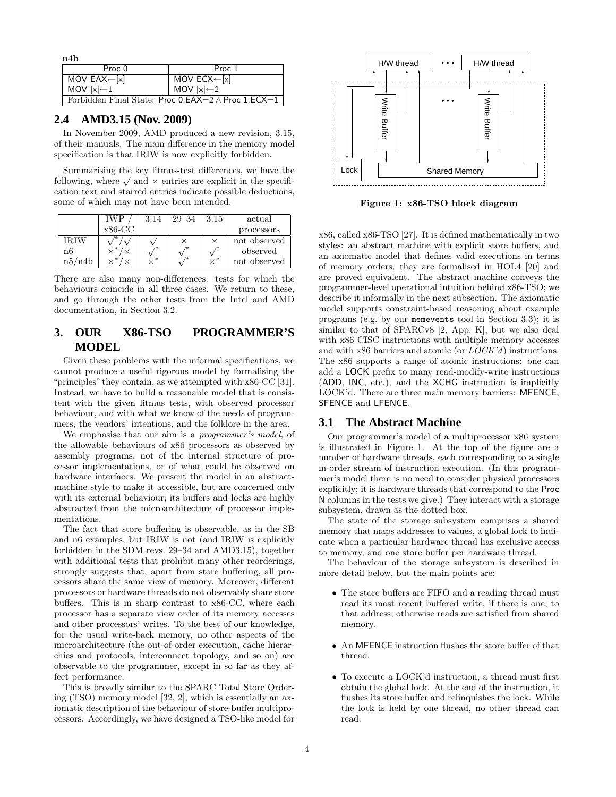n4b

| Proc 0                   | Proc 1                                                      |
|--------------------------|-------------------------------------------------------------|
| MOV $EAX \leftarrow [x]$ | MOV ECX←[x]<br>MOV [x]←2                                    |
| MOV $[x] \leftarrow 1$   |                                                             |
|                          | Forbidden Final State: Proc $0.EAX = 2 \wedge$ Proc 1:ECX=1 |

# **2.4 AMD3.15 (Nov. 2009)**

In November 2009, AMD produced a new revision, 3.15, of their manuals. The main difference in the memory model specification is that IRIW is now explicitly forbidden.

Summarising the key litmus-test differences, we have the following, where  $\sqrt{ }$  and  $\times$  entries are explicit in the specification text and starred entries indicate possible deductions, some of which may not have been intended.

|             | IWP       | 3.14 | $29 - 34$ | 3.15       | actual       |
|-------------|-----------|------|-----------|------------|--------------|
|             | $x86$ -CC |      |           |            | processors   |
| <b>IRIW</b> |           |      |           | $\times$   | not observed |
| n6          |           |      |           |            | observed     |
| n5/n4b      |           |      |           | $\times^*$ | not observed |

There are also many non-differences: tests for which the behaviours coincide in all three cases. We return to these, and go through the other tests from the Intel and AMD documentation, in Section 3.2.

# **3. OUR X86-TSO PROGRAMMER'S MODEL**

Given these problems with the informal specifications, we cannot produce a useful rigorous model by formalising the "principles" they contain, as we attempted with x86-CC [31]. Instead, we have to build a reasonable model that is consistent with the given litmus tests, with observed processor behaviour, and with what we know of the needs of programmers, the vendors' intentions, and the folklore in the area.

We emphasise that our aim is a *programmer's model*, of the allowable behaviours of x86 processors as observed by assembly programs, not of the internal structure of processor implementations, or of what could be observed on hardware interfaces. We present the model in an abstractmachine style to make it accessible, but are concerned only with its external behaviour; its buffers and locks are highly abstracted from the microarchitecture of processor implementations.

The fact that store buffering is observable, as in the SB and n6 examples, but IRIW is not (and IRIW is explicitly forbidden in the SDM revs. 29–34 and AMD3.15), together with additional tests that prohibit many other reorderings, strongly suggests that, apart from store buffering, all processors share the same view of memory. Moreover, different processors or hardware threads do not observably share store buffers. This is in sharp contrast to x86-CC, where each processor has a separate view order of its memory accesses and other processors' writes. To the best of our knowledge, for the usual write-back memory, no other aspects of the microarchitecture (the out-of-order execution, cache hierarchies and protocols, interconnect topology, and so on) are observable to the programmer, except in so far as they affect performance.

This is broadly similar to the SPARC Total Store Ordering (TSO) memory model [32, 2], which is essentially an axiomatic description of the behaviour of store-buffer multiprocessors. Accordingly, we have designed a TSO-like model for



Figure 1: x86-TSO block diagram

x86, called x86-TSO [27]. It is defined mathematically in two styles: an abstract machine with explicit store buffers, and an axiomatic model that defines valid executions in terms of memory orders; they are formalised in HOL4 [20] and are proved equivalent. The abstract machine conveys the programmer-level operational intuition behind x86-TSO; we describe it informally in the next subsection. The axiomatic model supports constraint-based reasoning about example programs (e.g. by our memevents tool in Section 3.3); it is similar to that of SPARCv8 [2, App. K], but we also deal with x86 CISC instructions with multiple memory accesses and with x86 barriers and atomic (or LOCK'd) instructions. The x86 supports a range of atomic instructions: one can add a LOCK prefix to many read-modify-write instructions (ADD, INC, etc.), and the XCHG instruction is implicitly LOCK'd. There are three main memory barriers: MFENCE, SFENCE and LFENCE.

#### **3.1 The Abstract Machine**

Our programmer's model of a multiprocessor x86 system is illustrated in Figure 1. At the top of the figure are a number of hardware threads, each corresponding to a single in-order stream of instruction execution. (In this programmer's model there is no need to consider physical processors explicitly; it is hardware threads that correspond to the Proc N columns in the tests we give.) They interact with a storage subsystem, drawn as the dotted box.

The state of the storage subsystem comprises a shared memory that maps addresses to values, a global lock to indicate when a particular hardware thread has exclusive access to memory, and one store buffer per hardware thread.

The behaviour of the storage subsystem is described in more detail below, but the main points are:

- The store buffers are FIFO and a reading thread must read its most recent buffered write, if there is one, to that address; otherwise reads are satisfied from shared memory.
- An MFENCE instruction flushes the store buffer of that thread.
- To execute a LOCK'd instruction, a thread must first obtain the global lock. At the end of the instruction, it flushes its store buffer and relinquishes the lock. While the lock is held by one thread, no other thread can read.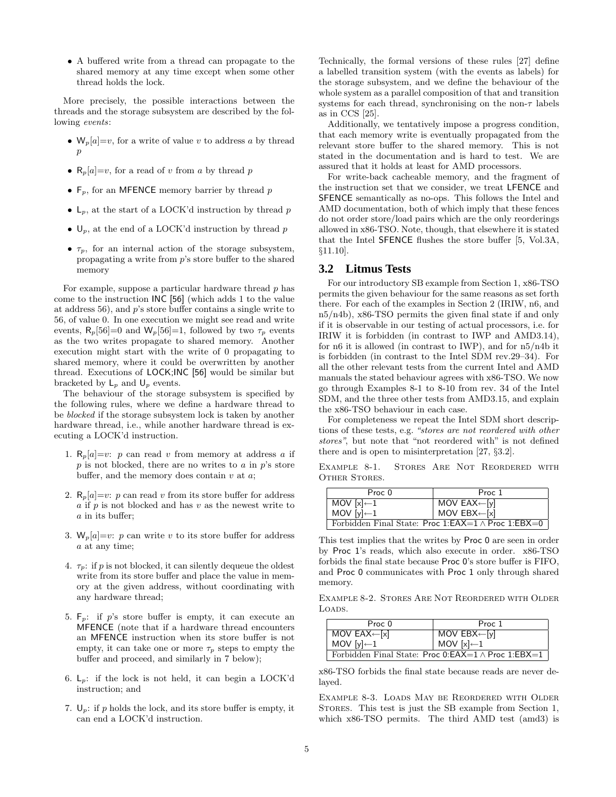• A buffered write from a thread can propagate to the shared memory at any time except when some other thread holds the lock.

More precisely, the possible interactions between the threads and the storage subsystem are described by the following events:

- $W_p[a]=v$ , for a write of value v to address a by thread p
- $R_p[a]=v$ , for a read of v from a by thread p
- $F_p$ , for an MFENCE memory barrier by thread p
- $L_p$ , at the start of a LOCK'd instruction by thread p
- $\mathsf{U}_p$ , at the end of a LOCK'd instruction by thread p
- $\tau_p$ , for an internal action of the storage subsystem, propagating a write from p's store buffer to the shared memory

For example, suppose a particular hardware thread  $p$  has come to the instruction INC [56] (which adds 1 to the value at address 56), and p's store buffer contains a single write to 56, of value 0. In one execution we might see read and write events,  $R_p[56]=0$  and  $W_p[56]=1$ , followed by two  $\tau_p$  events as the two writes propagate to shared memory. Another execution might start with the write of 0 propagating to shared memory, where it could be overwritten by another thread. Executions of LOCK;INC [56] would be similar but bracketed by  $L_p$  and  $U_p$  events.

The behaviour of the storage subsystem is specified by the following rules, where we define a hardware thread to be blocked if the storage subsystem lock is taken by another hardware thread, i.e., while another hardware thread is executing a LOCK'd instruction.

- 1.  $R_p[a]=v$ : p can read v from memory at address a if  $p$  is not blocked, there are no writes to  $a$  in  $p$ 's store buffer, and the memory does contain  $v$  at  $a$ ;
- 2.  $R_p[a]=v: p$  can read v from its store buffer for address  $a$  if  $p$  is not blocked and has  $v$  as the newest write to a in its buffer;
- 3.  $W_p[a]=v: p$  can write v to its store buffer for address a at any time;
- 4.  $\tau_p$ : if p is not blocked, it can silently dequeue the oldest write from its store buffer and place the value in memory at the given address, without coordinating with any hardware thread;
- 5.  $F_p$ : if p's store buffer is empty, it can execute an MFENCE (note that if a hardware thread encounters an MFENCE instruction when its store buffer is not empty, it can take one or more  $\tau_p$  steps to empty the buffer and proceed, and similarly in 7 below);
- 6.  $L_p$ : if the lock is not held, it can begin a LOCK'd instruction; and
- 7.  $\mathsf{U}_p$ : if p holds the lock, and its store buffer is empty, it can end a LOCK'd instruction.

Technically, the formal versions of these rules [27] define a labelled transition system (with the events as labels) for the storage subsystem, and we define the behaviour of the whole system as a parallel composition of that and transition systems for each thread, synchronising on the non- $\tau$  labels as in CCS [25].

Additionally, we tentatively impose a progress condition, that each memory write is eventually propagated from the relevant store buffer to the shared memory. This is not stated in the documentation and is hard to test. We are assured that it holds at least for AMD processors.

For write-back cacheable memory, and the fragment of the instruction set that we consider, we treat LFENCE and SFENCE semantically as no-ops. This follows the Intel and AMD documentation, both of which imply that these fences do not order store/load pairs which are the only reorderings allowed in x86-TSO. Note, though, that elsewhere it is stated that the Intel SFENCE flushes the store buffer [5, Vol.3A, §11.10].

#### **3.2 Litmus Tests**

For our introductory SB example from Section 1, x86-TSO permits the given behaviour for the same reasons as set forth there. For each of the examples in Section 2 (IRIW, n6, and n5/n4b), x86-TSO permits the given final state if and only if it is observable in our testing of actual processors, i.e. for IRIW it is forbidden (in contrast to IWP and AMD3.14), for n6 it is allowed (in contrast to IWP), and for n5/n4b it is forbidden (in contrast to the Intel SDM rev.29–34). For all the other relevant tests from the current Intel and AMD manuals the stated behaviour agrees with x86-TSO. We now go through Examples 8-1 to 8-10 from rev. 34 of the Intel SDM, and the three other tests from AMD3.15, and explain the x86-TSO behaviour in each case.

For completeness we repeat the Intel SDM short descriptions of these tests, e.g. "stores are not reordered with other stores", but note that "not reordered with" is not defined there and is open to misinterpretation [27, §3.2].

Example 8-1. Stores Are Not Reordered with OTHER STORES.

| Proc 0                                                   | Proc 1                       |
|----------------------------------------------------------|------------------------------|
| $Mov[x] \leftarrow 1$                                    | MOV $EAX \leftarrow [y]$     |
| $\vert$ MOV [y] $\leftarrow$ 1                           | $ $ MOV EBX $\leftarrow$ [x] |
| Forbidden Final State: Proc 1:EAX=1 $\land$ Proc 1:EBX=0 |                              |

This test implies that the writes by Proc 0 are seen in order by Proc 1's reads, which also execute in order. x86-TSO forbids the final state because Proc 0's store buffer is FIFO, and Proc 0 communicates with Proc 1 only through shared memory.

Example 8-2. Stores Are Not Reordered with Older LOADS.

| Proc 0                   | Proc 1                                                   |
|--------------------------|----------------------------------------------------------|
| MOV $EAX \leftarrow [x]$ | MOV $EBX \leftarrow [y]$                                 |
| MOV $[v] \leftarrow 1$   | MOV $[x] \leftarrow 1$                                   |
|                          | Forbidden Final State: Proc 0:EAX=1 $\land$ Proc 1:EBX=1 |

x86-TSO forbids the final state because reads are never delayed.

Example 8-3. Loads May be Reordered with Older Stores. This test is just the SB example from Section 1, which x86-TSO permits. The third AMD test (amd3) is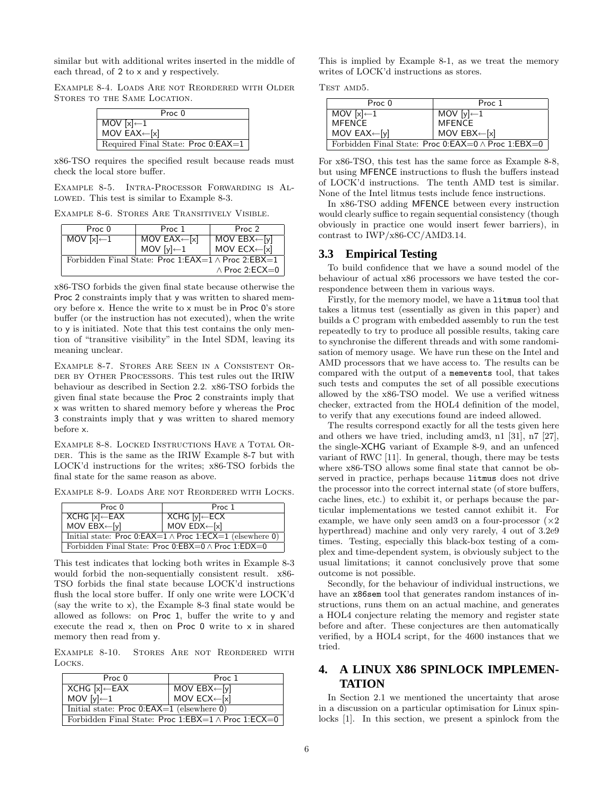similar but with additional writes inserted in the middle of each thread, of 2 to x and y respectively.

Example 8-4. Loads Are not Reordered with Older STORES TO THE SAME LOCATION.

| Proc 0                             |
|------------------------------------|
| MOV $[x] \leftarrow 1$             |
| MOV $EAX \leftarrow [x]$           |
| Required Final State: Proc 0:EAX=1 |

x86-TSO requires the specified result because reads must check the local store buffer.

Example 8-5. Intra-Processor Forwarding is Al-LOWED. This test is similar to Example 8-3.

Example 8-6. Stores Are Transitively Visible.

| Proc 0                 | Proc 1                                             | Proc 2                                               |
|------------------------|----------------------------------------------------|------------------------------------------------------|
| MOV $[x] \leftarrow 1$ | MOV EAX $\leftarrow$ [x]<br>MOV [y] $\leftarrow$ 1 | MOV $EBX \leftarrow [y]$<br>MOV $ECX \leftarrow [x]$ |
|                        |                                                    |                                                      |
|                        | Forbidden Final State: Proc 1:EAX=1 ∧ Proc 2:EBX=1 |                                                      |
|                        |                                                    | $\land$ Proc 2:ECX=0                                 |
|                        |                                                    |                                                      |

x86-TSO forbids the given final state because otherwise the Proc 2 constraints imply that y was written to shared memory before x. Hence the write to x must be in Proc 0's store buffer (or the instruction has not executed), when the write to y is initiated. Note that this test contains the only mention of "transitive visibility" in the Intel SDM, leaving its meaning unclear.

Example 8-7. Stores Are Seen in a Consistent Or-DER BY OTHER PROCESSORS. This test rules out the IRIW behaviour as described in Section 2.2. x86-TSO forbids the given final state because the Proc 2 constraints imply that x was written to shared memory before y whereas the Proc 3 constraints imply that y was written to shared memory before x.

EXAMPLE 8-8. LOCKED INSTRUCTIONS HAVE A TOTAL OR-DER. This is the same as the IRIW Example 8-7 but with LOCK'd instructions for the writes; x86-TSO forbids the final state for the same reason as above.

Example 8-9. Loads Are not Reordered with Locks.

| Proc 0                                                         | Proc 1                                                          |  |
|----------------------------------------------------------------|-----------------------------------------------------------------|--|
| $XCHG[x] \leftarrow EAX$                                       | $\overline{XCHG[y] \leftarrow ECX}$<br>MOV EDX $\leftarrow [x]$ |  |
| MOV $ESX \leftarrow [y]$                                       |                                                                 |  |
| Initial state: Proc 0:EAX=1 $\land$ Proc 1:ECX=1 (elsewhere 0) |                                                                 |  |
| Forbidden Final State: Proc $0:EBX=0 \wedge$ Proc $1:EDX=0$    |                                                                 |  |

This test indicates that locking both writes in Example 8-3 would forbid the non-sequentially consistent result. x86- TSO forbids the final state because LOCK'd instructions flush the local store buffer. If only one write were LOCK'd (say the write to x), the Example 8-3 final state would be allowed as follows: on Proc 1, buffer the write to y and execute the read x, then on Proc 0 write to x in shared memory then read from y.

Example 8-10. Stores Are not Reordered with Locks.

| Proc 0                                           | Proc 1                                               |  |
|--------------------------------------------------|------------------------------------------------------|--|
| $XCHG[x] \leftarrow EAX$                         |                                                      |  |
| MOV $[y] \leftarrow 1$                           | MOV $EBX \leftarrow [y]$<br>MOV $ECX \leftarrow [x]$ |  |
| Initial state: Proc $0:EAX=1$ (elsewhere 0)      |                                                      |  |
| Forbidden Final State: Proc 1:EBX=1∧Proc 1:ECX=0 |                                                      |  |

This is implied by Example 8-1, as we treat the memory writes of LOCK'd instructions as stores.

TEST AMD5.

| Proc 0                                                    | Proc 1                                  |
|-----------------------------------------------------------|-----------------------------------------|
| MOV $[x] \leftarrow 1$                                    | MOV [y] $-1$                            |
| <b>MFENCE</b>                                             | MFENCE                                  |
| MOV $EAX \leftarrow [y]$                                  | $M^{\text{H}}$ MOV EBX $\leftarrow$ [x] |
| Forbidden Final State: Proc $0:EAX=0 \wedge Proc 1:EBX=0$ |                                         |

For x86-TSO, this test has the same force as Example 8-8, but using MFENCE instructions to flush the buffers instead of LOCK'd instructions. The tenth AMD test is similar. None of the Intel litmus tests include fence instructions.

In x86-TSO adding MFENCE between every instruction would clearly suffice to regain sequential consistency (though obviously in practice one would insert fewer barriers), in contrast to IWP/x86-CC/AMD3.14.

# **3.3 Empirical Testing**

To build confidence that we have a sound model of the behaviour of actual x86 processors we have tested the correspondence between them in various ways.

Firstly, for the memory model, we have a litmus tool that takes a litmus test (essentially as given in this paper) and builds a C program with embedded assembly to run the test repeatedly to try to produce all possible results, taking care to synchronise the different threads and with some randomisation of memory usage. We have run these on the Intel and AMD processors that we have access to. The results can be compared with the output of a memevents tool, that takes such tests and computes the set of all possible executions allowed by the x86-TSO model. We use a verified witness checker, extracted from the HOL4 definition of the model, to verify that any executions found are indeed allowed.

The results correspond exactly for all the tests given here and others we have tried, including amd3, n1 [31], n7 [27], the single-XCHG variant of Example 8-9, and an unfenced variant of RWC [11]. In general, though, there may be tests where x86-TSO allows some final state that cannot be observed in practice, perhaps because litmus does not drive the processor into the correct internal state (of store buffers, cache lines, etc.) to exhibit it, or perhaps because the particular implementations we tested cannot exhibit it. For example, we have only seen amd3 on a four-processor  $(x2)$ hyperthread) machine and only very rarely, 4 out of 3.2e9 times. Testing, especially this black-box testing of a complex and time-dependent system, is obviously subject to the usual limitations; it cannot conclusively prove that some outcome is not possible.

Secondly, for the behaviour of individual instructions, we have an **x86sem** tool that generates random instances of instructions, runs them on an actual machine, and generates a HOL4 conjecture relating the memory and register state before and after. These conjectures are then automatically verified, by a HOL4 script, for the 4600 instances that we tried.

# **4. A LINUX X86 SPINLOCK IMPLEMEN-TATION**

In Section 2.1 we mentioned the uncertainty that arose in a discussion on a particular optimisation for Linux spinlocks [1]. In this section, we present a spinlock from the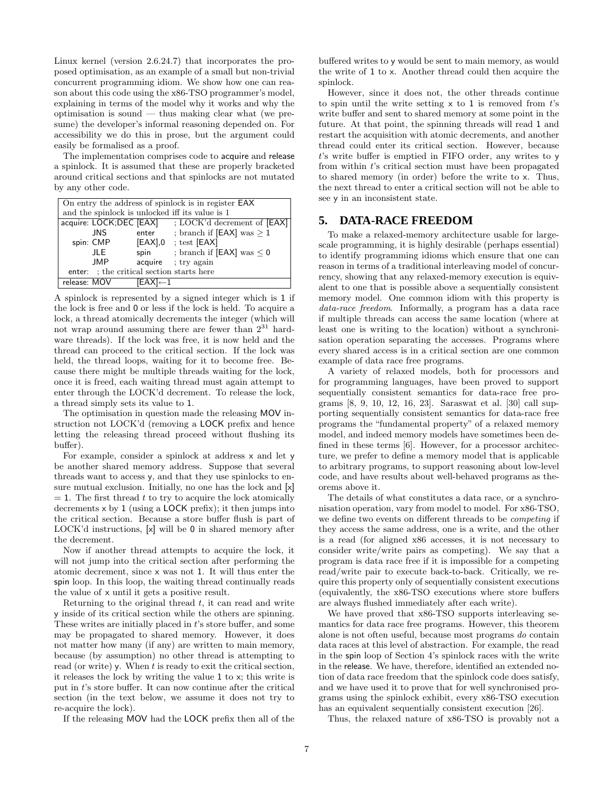Linux kernel (version 2.6.24.7) that incorporates the proposed optimisation, as an example of a small but non-trivial concurrent programming idiom. We show how one can reason about this code using the x86-TSO programmer's model, explaining in terms of the model why it works and why the optimisation is sound — thus making clear what (we presume) the developer's informal reasoning depended on. For accessibility we do this in prose, but the argument could easily be formalised as a proof.

The implementation comprises code to acquire and release a spinlock. It is assumed that these are properly bracketed around critical sections and that spinlocks are not mutated by any other code.

| On entry the address of spinlock is in register EAX |                                  |  |
|-----------------------------------------------------|----------------------------------|--|
| and the spinlock is unlocked iff its value is 1     |                                  |  |
| acquire: LOCK;DEC [EAX]                             | ; LOCK'd decrement of [EAX]      |  |
| <b>JNS</b><br>enter                                 | ; branch if [EAX] was $\geq 1$   |  |
| $[EAX]$ ,0<br>spin: CMP                             | ; test [EAX]                     |  |
| spin<br><b>JLE</b>                                  | ; branch if $[EAX]$ was $\leq 0$ |  |
| <b>JMP</b>                                          | acquire ; try again              |  |
| enter: ; the critical section starts here           |                                  |  |
| release: MOV<br>[EAX]                               |                                  |  |

A spinlock is represented by a signed integer which is 1 if the lock is free and 0 or less if the lock is held. To acquire a lock, a thread atomically decrements the integer (which will not wrap around assuming there are fewer than  $2^{31}$  hardware threads). If the lock was free, it is now held and the thread can proceed to the critical section. If the lock was held, the thread loops, waiting for it to become free. Because there might be multiple threads waiting for the lock, once it is freed, each waiting thread must again attempt to enter through the LOCK'd decrement. To release the lock, a thread simply sets its value to 1.

The optimisation in question made the releasing MOV instruction not LOCK'd (removing a LOCK prefix and hence letting the releasing thread proceed without flushing its buffer).

For example, consider a spinlock at address x and let y be another shared memory address. Suppose that several threads want to access y, and that they use spinlocks to ensure mutual exclusion. Initially, no one has the lock and [x]  $= 1$ . The first thread t to try to acquire the lock atomically decrements x by 1 (using a LOCK prefix); it then jumps into the critical section. Because a store buffer flush is part of LOCK'd instructions, [x] will be 0 in shared memory after the decrement.

Now if another thread attempts to acquire the lock, it will not jump into the critical section after performing the atomic decrement, since x was not 1. It will thus enter the spin loop. In this loop, the waiting thread continually reads the value of x until it gets a positive result.

Returning to the original thread  $t$ , it can read and write y inside of its critical section while the others are spinning. These writes are initially placed in t's store buffer, and some may be propagated to shared memory. However, it does not matter how many (if any) are written to main memory, because (by assumption) no other thread is attempting to read (or write)  $\gamma$ . When  $t$  is ready to exit the critical section, it releases the lock by writing the value 1 to x; this write is put in t's store buffer. It can now continue after the critical section (in the text below, we assume it does not try to re-acquire the lock).

If the releasing MOV had the LOCK prefix then all of the

buffered writes to y would be sent to main memory, as would the write of 1 to x. Another thread could then acquire the spinlock.

However, since it does not, the other threads continue to spin until the write setting  $x$  to 1 is removed from  $t$ 's write buffer and sent to shared memory at some point in the future. At that point, the spinning threads will read 1 and restart the acquisition with atomic decrements, and another thread could enter its critical section. However, because t's write buffer is emptied in FIFO order, any writes to y from within t's critical section must have been propagated to shared memory (in order) before the write to x. Thus, the next thread to enter a critical section will not be able to see y in an inconsistent state.

# **5. DATA-RACE FREEDOM**

To make a relaxed-memory architecture usable for largescale programming, it is highly desirable (perhaps essential) to identify programming idioms which ensure that one can reason in terms of a traditional interleaving model of concurrency, showing that any relaxed-memory execution is equivalent to one that is possible above a sequentially consistent memory model. One common idiom with this property is data-race freedom. Informally, a program has a data race if multiple threads can access the same location (where at least one is writing to the location) without a synchronisation operation separating the accesses. Programs where every shared access is in a critical section are one common example of data race free programs.

A variety of relaxed models, both for processors and for programming languages, have been proved to support sequentially consistent semantics for data-race free programs [8, 9, 10, 12, 16, 23]. Saraswat et al. [30] call supporting sequentially consistent semantics for data-race free programs the "fundamental property" of a relaxed memory model, and indeed memory models have sometimes been defined in these terms [6]. However, for a processor architecture, we prefer to define a memory model that is applicable to arbitrary programs, to support reasoning about low-level code, and have results about well-behaved programs as theorems above it.

The details of what constitutes a data race, or a synchronisation operation, vary from model to model. For x86-TSO, we define two events on different threads to be competing if they access the same address, one is a write, and the other is a read (for aligned x86 accesses, it is not necessary to consider write/write pairs as competing). We say that a program is data race free if it is impossible for a competing read/write pair to execute back-to-back. Critically, we require this property only of sequentially consistent executions (equivalently, the x86-TSO executions where store buffers are always flushed immediately after each write).

We have proved that x86-TSO supports interleaving semantics for data race free programs. However, this theorem alone is not often useful, because most programs do contain data races at this level of abstraction. For example, the read in the spin loop of Section 4's spinlock races with the write in the release. We have, therefore, identified an extended notion of data race freedom that the spinlock code does satisfy, and we have used it to prove that for well synchronised programs using the spinlock exhibit, every x86-TSO execution has an equivalent sequentially consistent execution [26].

Thus, the relaxed nature of x86-TSO is provably not a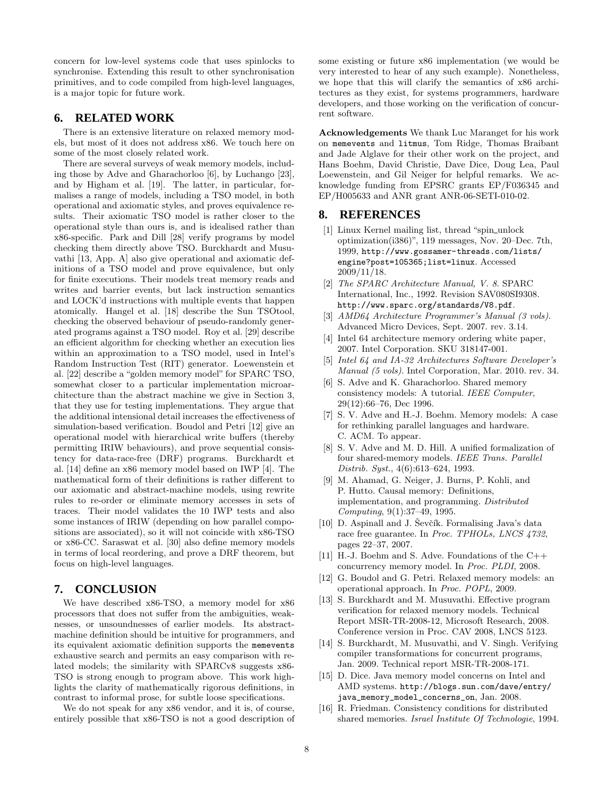concern for low-level systems code that uses spinlocks to synchronise. Extending this result to other synchronisation primitives, and to code compiled from high-level languages, is a major topic for future work.

#### **6. RELATED WORK**

There is an extensive literature on relaxed memory models, but most of it does not address x86. We touch here on some of the most closely related work.

There are several surveys of weak memory models, including those by Adve and Gharachorloo [6], by Luchango [23], and by Higham et al. [19]. The latter, in particular, formalises a range of models, including a TSO model, in both operational and axiomatic styles, and proves equivalence results. Their axiomatic TSO model is rather closer to the operational style than ours is, and is idealised rather than x86-specific. Park and Dill [28] verify programs by model checking them directly above TSO. Burckhardt and Musuvathi [13, App. A] also give operational and axiomatic definitions of a TSO model and prove equivalence, but only for finite executions. Their models treat memory reads and writes and barrier events, but lack instruction semantics and LOCK'd instructions with multiple events that happen atomically. Hangel et al. [18] describe the Sun TSOtool, checking the observed behaviour of pseudo-randomly generated programs against a TSO model. Roy et al. [29] describe an efficient algorithm for checking whether an execution lies within an approximation to a TSO model, used in Intel's Random Instruction Test (RIT) generator. Loewenstein et al. [22] describe a "golden memory model" for SPARC TSO, somewhat closer to a particular implementation microarchitecture than the abstract machine we give in Section 3, that they use for testing implementations. They argue that the additional intensional detail increases the effectiveness of simulation-based verification. Boudol and Petri [12] give an operational model with hierarchical write buffers (thereby permitting IRIW behaviours), and prove sequential consistency for data-race-free (DRF) programs. Burckhardt et al. [14] define an x86 memory model based on IWP [4]. The mathematical form of their definitions is rather different to our axiomatic and abstract-machine models, using rewrite rules to re-order or eliminate memory accesses in sets of traces. Their model validates the 10 IWP tests and also some instances of IRIW (depending on how parallel compositions are associated), so it will not coincide with x86-TSO or x86-CC. Saraswat et al. [30] also define memory models in terms of local reordering, and prove a DRF theorem, but focus on high-level languages.

# **7. CONCLUSION**

We have described x86-TSO, a memory model for x86 processors that does not suffer from the ambiguities, weaknesses, or unsoundnesses of earlier models. Its abstractmachine definition should be intuitive for programmers, and its equivalent axiomatic definition supports the memevents exhaustive search and permits an easy comparison with related models; the similarity with SPARCv8 suggests x86- TSO is strong enough to program above. This work highlights the clarity of mathematically rigorous definitions, in contrast to informal prose, for subtle loose specifications.

We do not speak for any x86 vendor, and it is, of course, entirely possible that x86-TSO is not a good description of some existing or future x86 implementation (we would be very interested to hear of any such example). Nonetheless, we hope that this will clarify the semantics of x86 architectures as they exist, for systems programmers, hardware developers, and those working on the verification of concurrent software.

Acknowledgements We thank Luc Maranget for his work on memevents and litmus, Tom Ridge, Thomas Braibant and Jade Alglave for their other work on the project, and Hans Boehm, David Christie, Dave Dice, Doug Lea, Paul Loewenstein, and Gil Neiger for helpful remarks. We acknowledge funding from EPSRC grants EP/F036345 and EP/H005633 and ANR grant ANR-06-SETI-010-02.

### **8. REFERENCES**

- [1] Linux Kernel mailing list, thread "spin\_unlock" optimization(i386)", 119 messages, Nov. 20–Dec. 7th, 1999, http://www.gossamer-threads.com/lists/ engine?post=105365;list=linux. Accessed 2009/11/18.
- [2] The SPARC Architecture Manual, V. 8. SPARC International, Inc., 1992. Revision SAV080SI9308. http://www.sparc.org/standards/V8.pdf.
- [3] AMD64 Architecture Programmer's Manual (3 vols). Advanced Micro Devices, Sept. 2007. rev. 3.14.
- [4] Intel 64 architecture memory ordering white paper, 2007. Intel Corporation. SKU 318147-001.
- [5] Intel 64 and IA-32 Architectures Software Developer's Manual (5 vols). Intel Corporation, Mar. 2010. rev. 34.
- [6] S. Adve and K. Gharachorloo. Shared memory consistency models: A tutorial. IEEE Computer, 29(12):66–76, Dec 1996.
- [7] S. V. Adve and H.-J. Boehm. Memory models: A case for rethinking parallel languages and hardware. C. ACM. To appear.
- [8] S. V. Adve and M. D. Hill. A unified formalization of four shared-memory models. IEEE Trans. Parallel Distrib. Syst., 4(6):613–624, 1993.
- [9] M. Ahamad, G. Neiger, J. Burns, P. Kohli, and P. Hutto. Causal memory: Definitions, implementation, and programming. Distributed Computing, 9(1):37–49, 1995.
- [10] D. Aspinall and J. Ševčík. Formalising Java's data race free guarantee. In Proc. TPHOLs, LNCS 4732, pages 22–37, 2007.
- [11] H.-J. Boehm and S. Adve. Foundations of the C++ concurrency memory model. In Proc. PLDI, 2008.
- [12] G. Boudol and G. Petri. Relaxed memory models: an operational approach. In Proc. POPL, 2009.
- [13] S. Burckhardt and M. Musuvathi. Effective program verification for relaxed memory models. Technical Report MSR-TR-2008-12, Microsoft Research, 2008. Conference version in Proc. CAV 2008, LNCS 5123.
- [14] S. Burckhardt, M. Musuvathi, and V. Singh. Verifying compiler transformations for concurrent programs, Jan. 2009. Technical report MSR-TR-2008-171.
- [15] D. Dice. Java memory model concerns on Intel and AMD systems. http://blogs.sun.com/dave/entry/ java\_memory\_model\_concerns\_on, Jan. 2008.
- [16] R. Friedman. Consistency conditions for distributed shared memories. Israel Institute Of Technologie, 1994.